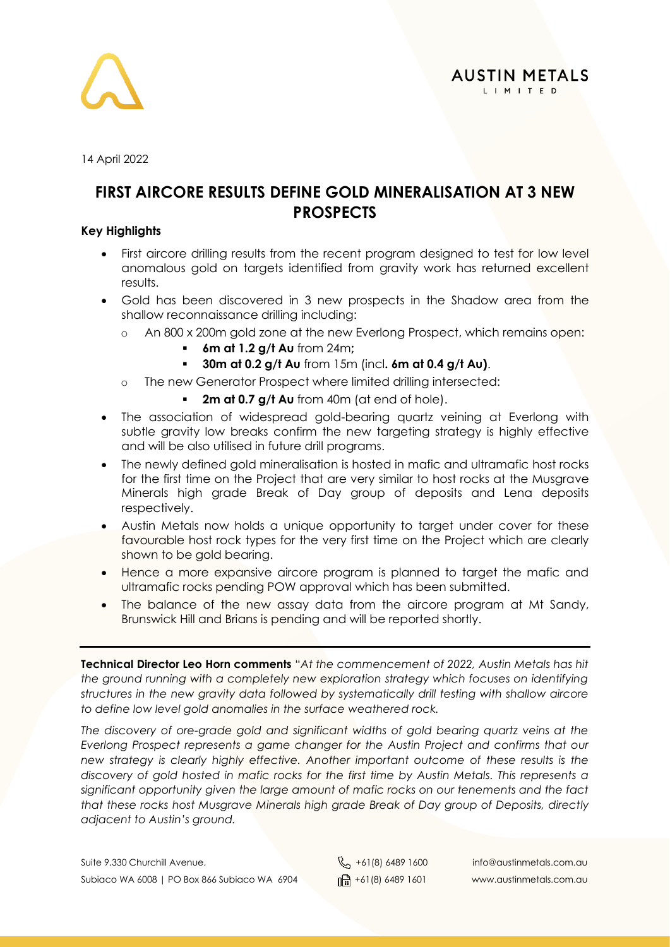

14 April 2022

#### **FIRST AIRCORE RESULTS DEFINE GOLD MINERALISATION AT 3 NEW PROSPECTS**

#### **Key Highlights**

- First aircore drilling results from the recent program designed to test for low level anomalous gold on targets identified from gravity work has returned excellent results.
- Gold has been discovered in 3 new prospects in the Shadow area from the shallow reconnaissance drilling including:
	- o An 800 x 200m gold zone at the new Everlong Prospect, which remains open:
		- **6m at 1.2 g/t Au** from 24m**;**
			- **30m at 0.2 g/t Au** from 15m (incl**. 6m at 0.4 g/t Au)**.
	- o The new Generator Prospect where limited drilling intersected:
		- **2m at 0.7 g/t Au** from 40m (at end of hole).
- The association of widespread gold-bearing quartz veining at Everlong with subtle gravity low breaks confirm the new targeting strategy is highly effective and will be also utilised in future drill programs.
- The newly defined gold mineralisation is hosted in mafic and ultramafic host rocks for the first time on the Project that are very similar to host rocks at the Musgrave Minerals high grade Break of Day group of deposits and Lena deposits respectively.
- Austin Metals now holds a unique opportunity to target under cover for these favourable host rock types for the very first time on the Project which are clearly shown to be gold bearing.
- Hence a more expansive aircore program is planned to target the mafic and ultramafic rocks pending POW approval which has been submitted.
- The balance of the new assay data from the aircore program at Mt Sandy, Brunswick Hill and Brians is pending and will be reported shortly.

**Technical Director Leo Horn comments** "*At the commencement of 2022, Austin Metals has hit the ground running with a completely new exploration strategy which focuses on identifying structures in the new gravity data followed by systematically drill testing with shallow aircore to define low level gold anomalies in the surface weathered rock.*

*The discovery of ore-grade gold and significant widths of gold bearing quartz veins at the Everlong Prospect represents a game changer for the Austin Project and confirms that our new strategy is clearly highly effective. Another important outcome of these results is the discovery of gold hosted in mafic rocks for the first time by Austin Metals. This represents a significant opportunity given the large amount of mafic rocks on our tenements and the fact that these rocks host Musgrave Minerals high grade Break of Day group of Deposits, directly adjacent to Austin's ground.*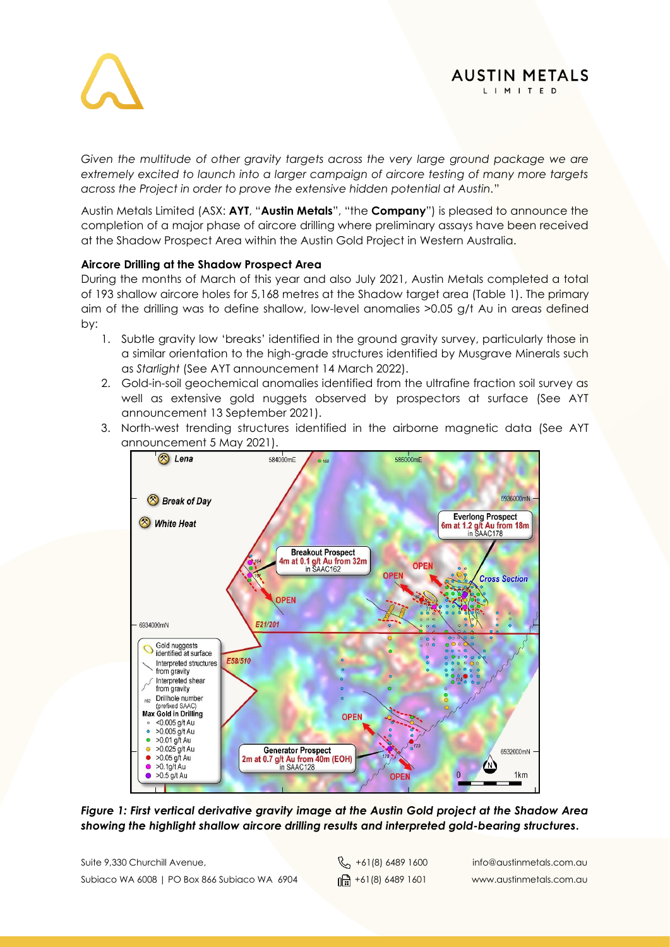

#### **AUSTIN METALS** L I M I T E D

*Given the multitude of other gravity targets across the very large ground package we are extremely excited to launch into a larger campaign of aircore testing of many more targets across the Project in order to prove the extensive hidden potential at Austin.*"

Austin Metals Limited (ASX: **AYT**, "**Austin Metals**", "the **Company**") is pleased to announce the completion of a major phase of aircore drilling where preliminary assays have been received at the Shadow Prospect Area within the Austin Gold Project in Western Australia.

#### **Aircore Drilling at the Shadow Prospect Area**

During the months of March of this year and also July 2021, Austin Metals completed a total of 193 shallow aircore holes for 5,168 metres at the Shadow target area (Table 1). The primary aim of the drilling was to define shallow, low-level anomalies >0.05 g/t Au in areas defined by:

- 1. Subtle gravity low 'breaks' identified in the ground gravity survey, particularly those in a similar orientation to the high-grade structures identified by Musgrave Minerals such as *Starlight* (See AYT announcement 14 March 2022).
- 2. Gold-in-soil geochemical anomalies identified from the ultrafine fraction soil survey as well as extensive gold nuggets observed by prospectors at surface (See AYT announcement 13 September 2021).
- 3. North-west trending structures identified in the airborne magnetic data (See AYT announcement 5 May 2021).



*Figure 1: First vertical derivative gravity image at the Austin Gold project at the Shadow Area showing the highlight shallow aircore drilling results and interpreted gold-bearing structures***.**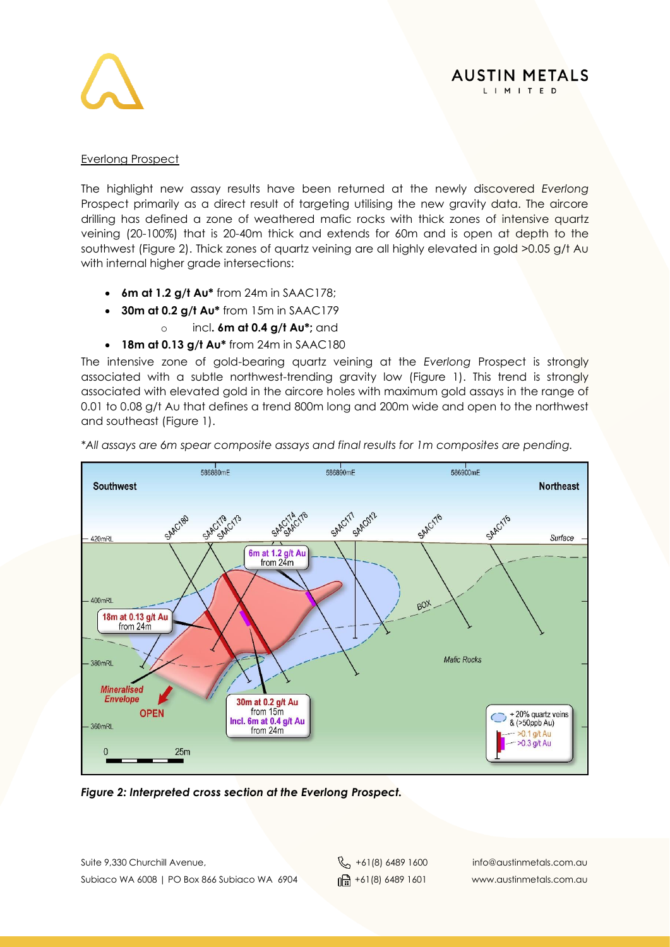

#### Everlong Prospect

The highlight new assay results have been returned at the newly discovered *Everlong* Prospect primarily as a direct result of targeting utilising the new gravity data. The aircore drilling has defined a zone of weathered mafic rocks with thick zones of intensive quartz veining (20-100%) that is 20-40m thick and extends for 60m and is open at depth to the southwest (Figure 2). Thick zones of quartz veining are all highly elevated in gold >0.05 g/t Au with internal higher grade intersections:

- **6m at 1.2 g/t Au\*** from 24m in SAAC178;
- **30m at 0.2 g/t Au\*** from 15m in SAAC179
	- o incl**. 6m at 0.4 g/t Au\*;** and
- **18m at 0.13 g/t Au\*** from 24m in SAAC180

The intensive zone of gold-bearing quartz veining at the *Everlong* Prospect is strongly associated with a subtle northwest-trending gravity low (Figure 1). This trend is strongly associated with elevated gold in the aircore holes with maximum gold assays in the range of 0.01 to 0.08 g/t Au that defines a trend 800m long and 200m wide and open to the northwest and southeast (Figure 1).



*\*All assays are 6m spear composite assays and final results for 1m composites are pending.*

*Figure 2: Interpreted cross section at the Everlong Prospect.*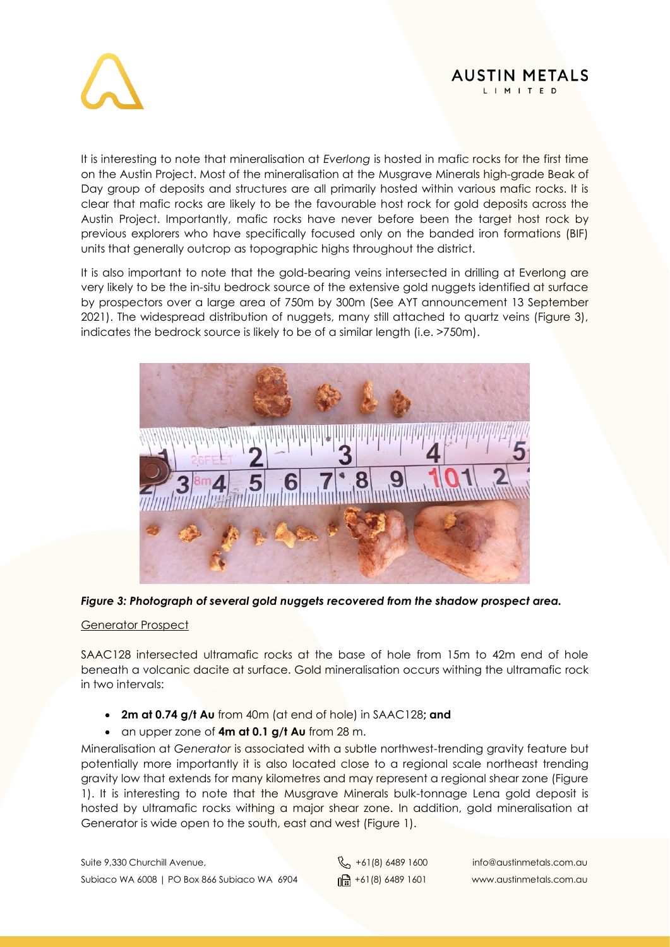



It is interesting to note that mineralisation at *Everlong* is hosted in mafic rocks for the first time on the Austin Project. Most of the mineralisation at the Musgrave Minerals high-grade Beak of Day group of deposits and structures are all primarily hosted within various mafic rocks. It is clear that mafic rocks are likely to be the favourable host rock for gold deposits across the Austin Project. Importantly, mafic rocks have never before been the target host rock by previous explorers who have specifically focused only on the banded iron formations (BIF) units that generally outcrop as topographic highs throughout the district.

It is also important to note that the gold-bearing veins intersected in drilling at Everlong are very likely to be the in-situ bedrock source of the extensive gold nuggets identified at surface by prospectors over a large area of 750m by 300m (See AYT announcement 13 September 2021). The widespread distribution of nuggets, many still attached to quartz veins (Figure 3), indicates the bedrock source is likely to be of a similar length (i.e. >750m).



*Figure 3: Photograph of several gold nuggets recovered from the shadow prospect area.*

#### Generator Prospect

SAAC128 intersected ultramafic rocks at the base of hole from 15m to 42m end of hole beneath a volcanic dacite at surface. Gold mineralisation occurs withing the ultramafic rock in two intervals:

- **2m at 0.74 g/t Au** from 40m (at end of hole) in SAAC128**; and**
- an upper zone of **4m at 0.1 g/t Au** from 28 m.

Mineralisation at *Generator* is associated with a subtle northwest-trending gravity feature but potentially more importantly it is also located close to a regional scale northeast trending gravity low that extends for many kilometres and may represent a regional shear zone (Figure 1). It is interesting to note that the Musgrave Minerals bulk-tonnage Lena gold deposit is hosted by ultramafic rocks withing a major shear zone. In addition, gold mineralisation at Generator is wide open to the south, east and west (Figure 1).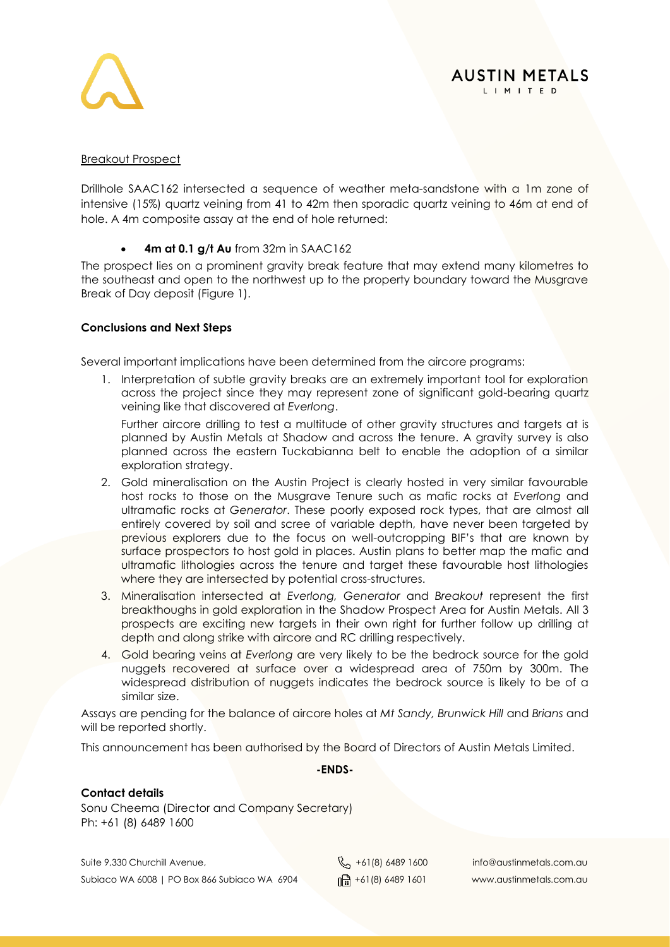

#### Breakout Prospect

Drillhole SAAC162 intersected a sequence of weather meta-sandstone with a 1m zone of intensive (15%) quartz veining from 41 to 42m then sporadic quartz veining to 46m at end of hole. A 4m composite assay at the end of hole returned:

#### • **4m at 0.1 g/t Au** from 32m in SAAC162

The prospect lies on a prominent gravity break feature that may extend many kilometres to the southeast and open to the northwest up to the property boundary toward the Musgrave Break of Day deposit (Figure 1).

#### **Conclusions and Next Steps**

Several important implications have been determined from the aircore programs:

1. Interpretation of subtle gravity breaks are an extremely important tool for exploration across the project since they may represent zone of significant gold-bearing quartz veining like that discovered at *Everlong*.

Further aircore drilling to test a multitude of other gravity structures and targets at is planned by Austin Metals at Shadow and across the tenure. A gravity survey is also planned across the eastern Tuckabianna belt to enable the adoption of a similar exploration strategy.

- 2. Gold mineralisation on the Austin Project is clearly hosted in very similar favourable host rocks to those on the Musgrave Tenure such as mafic rocks at *Everlong* and ultramafic rocks at *Generator*. These poorly exposed rock types, that are almost all entirely covered by soil and scree of variable depth, have never been targeted by previous explorers due to the focus on well-outcropping BIF's that are known by surface prospectors to host gold in places. Austin plans to better map the mafic and ultramafic lithologies across the tenure and target these favourable host lithologies where they are intersected by potential cross-structures.
- 3. Mineralisation intersected at *Everlong, Generator* and *Breakout* represent the first breakthoughs in gold exploration in the Shadow Prospect Area for Austin Metals. All 3 prospects are exciting new targets in their own right for further follow up drilling at depth and along strike with aircore and RC drilling respectively.
- 4. Gold bearing veins at *Everlong* are very likely to be the bedrock source for the gold nuggets recovered at surface over a widespread area of 750m by 300m. The widespread distribution of nuggets indicates the bedrock source is likely to be of a similar size.

Assays are pending for the balance of aircore holes at *Mt Sandy, Brunwick Hill* and *Brians* and will be reported shortly.

This announcement has been authorised by the Board of Directors of Austin Metals Limited.

#### **-ENDS-**

#### **Contact details**

Sonu Cheema (Director and Company Secretary) Ph: +61 (8) 6489 1600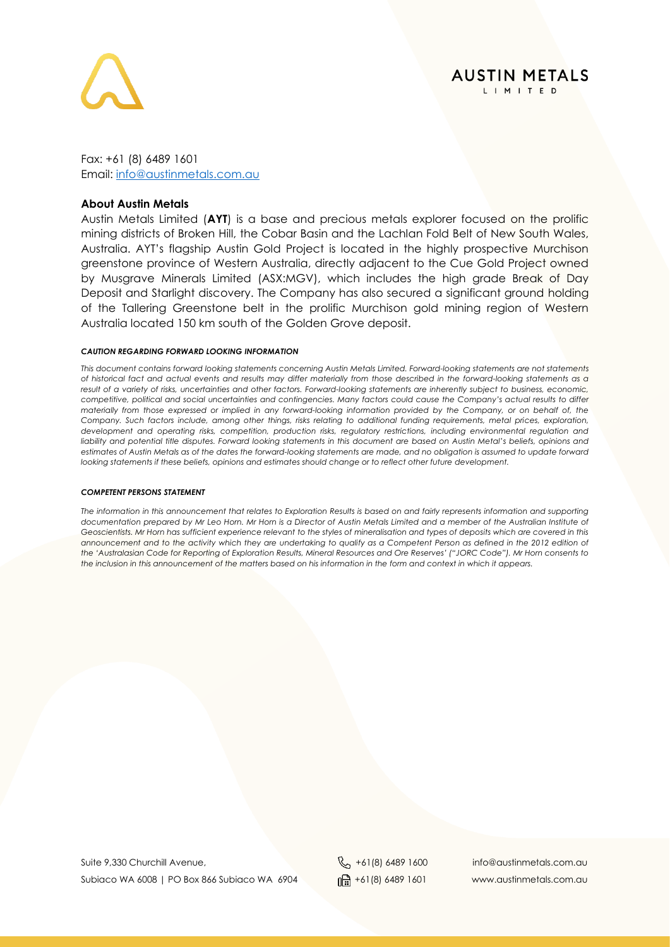

Fax: +61 (8) 6489 1601 Email: [info@austinmetals.com.au](mailto:info@austinmetals.com.au) 

#### **About Austin Metals**

Austin Metals Limited (**AYT**) is a base and precious metals explorer focused on the prolific mining districts of Broken Hill, the Cobar Basin and the Lachlan Fold Belt of New South Wales, Australia. AYT's flagship Austin Gold Project is located in the highly prospective Murchison greenstone province of Western Australia, directly adjacent to the Cue Gold Project owned by Musgrave Minerals Limited (ASX:MGV), which includes the high grade Break of Day Deposit and Starlight discovery. The Company has also secured a significant ground holding of the Tallering Greenstone belt in the prolific Murchison gold mining region of Western Australia located 150 km south of the Golden Grove deposit.

#### *CAUTION REGARDING FORWARD LOOKING INFORMATION*

*This document contains forward looking statements concerning Austin Metals Limited. Forward-looking statements are not statements of historical fact and actual events and results may differ materially from those described in the forward-looking statements as a result of a variety of risks, uncertainties and other factors. Forward-looking statements are inherently subject to business, economic, competitive, political and social uncertainties and contingencies. Many factors could cause the Company's actual results to differ materially from those expressed or implied in any forward-looking information provided by the Company, or on behalf of, the Company. Such factors include, among other things, risks relating to additional funding requirements, metal prices, exploration, development and operating risks, competition, production risks, regulatory restrictions, including environmental regulation and*  liability and potential title disputes. Forward looking statements in this document are based on Austin Metal's beliefs, opinions and *estimates of Austin Metals as of the dates the forward-looking statements are made, and no obligation is assumed to update forward looking statements if these beliefs, opinions and estimates should change or to reflect other future development.*

#### *COMPETENT PERSONS STATEMENT*

*The information in this announcement that relates to Exploration Results is based on and fairly represents information and supporting documentation prepared by Mr Leo Horn. Mr Horn is a Director of Austin Metals Limited and a member of the Australian Institute of Geoscientists. Mr Horn has sufficient experience relevant to the styles of mineralisation and types of deposits which are covered in this announcement and to the activity which they are undertaking to qualify as a Competent Person as defined in the 2012 edition of the 'Australasian Code for Reporting of Exploration Results, Mineral Resources and Ore Reserves' ("JORC Code"). Mr Horn consents to the inclusion in this announcement of the matters based on his information in the form and context in which it appears.*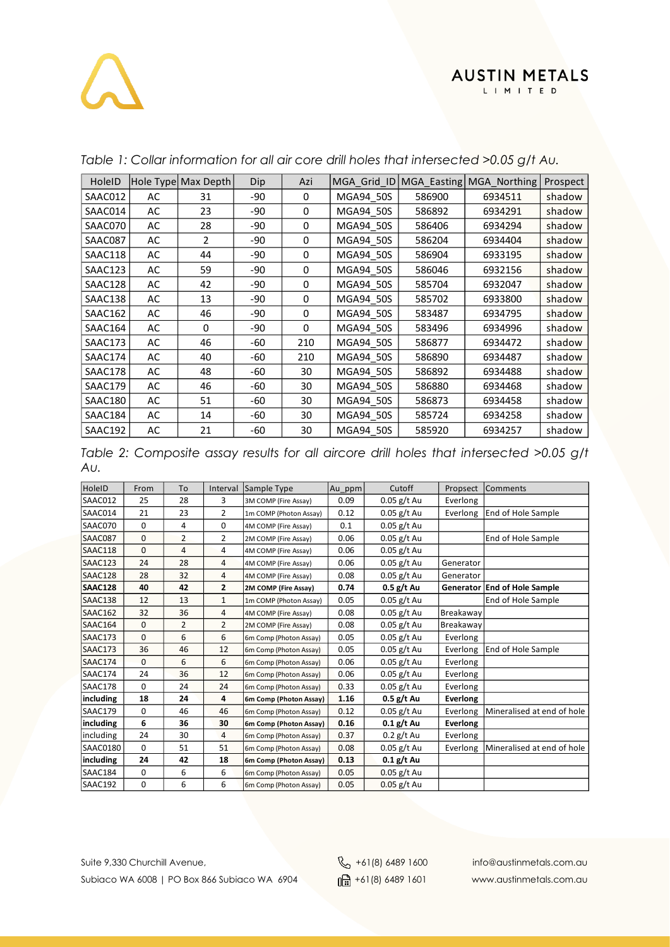| HoleID  |    | Hole Type Max Depth | Dip | Azi          |           |        | MGA_Grid_ID   MGA_Easting   MGA_Northing | Prospect |
|---------|----|---------------------|-----|--------------|-----------|--------|------------------------------------------|----------|
| SAAC012 | AC | 31                  | -90 | 0            | MGA94 50S | 586900 | 6934511                                  | shadow   |
| SAAC014 | AC | 23                  | -90 | 0            | MGA94 50S | 586892 | 6934291                                  | shadow   |
| SAAC070 | AC | 28                  | -90 | 0            | MGA94 50S | 586406 | 6934294                                  | shadow   |
| SAAC087 | AC | $\overline{2}$      | -90 | 0            | MGA94_50S | 586204 | 6934404                                  | shadow   |
| SAAC118 | AC | 44                  | -90 | 0            | MGA94 50S | 586904 | 6933195                                  | shadow   |
| SAAC123 | AC | 59                  | -90 | 0            | MGA94 50S | 586046 | 6932156                                  | shadow   |
| SAAC128 | AC | 42                  | -90 | 0            | MGA94 50S | 585704 | 6932047                                  | shadow   |
| SAAC138 | AC | 13                  | -90 | 0            | MGA94 50S | 585702 | 6933800                                  | shadow   |
| SAAC162 | AC | 46                  | -90 | 0            | MGA94 50S | 583487 | 6934795                                  | shadow   |
| SAAC164 | AC | 0                   | -90 | $\mathbf{0}$ | MGA94 50S | 583496 | 6934996                                  | shadow   |
| SAAC173 | AC | 46                  | -60 | 210          | MGA94 50S | 586877 | 6934472                                  | shadow   |
| SAAC174 | AC | 40                  | -60 | 210          | MGA94 50S | 586890 | 6934487                                  | shadow   |
| SAAC178 | AC | 48                  | -60 | 30           | MGA94 50S | 586892 | 6934488                                  | shadow   |
| SAAC179 | AC | 46                  | -60 | 30           | MGA94 50S | 586880 | 6934468                                  | shadow   |
| SAAC180 | AC | 51                  | -60 | 30           | MGA94_50S | 586873 | 6934458                                  | shadow   |
| SAAC184 | AC | 14                  | -60 | 30           | MGA94_50S | 585724 | 6934258                                  | shadow   |
| SAAC192 | AC | 21                  | -60 | 30           | MGA94 50S | 585920 | 6934257                                  | shadow   |

#### *Table 1: Collar information for all air core drill holes that intersected >0.05 g/t Au.*

*Table 2: Composite assay results for all aircore drill holes that intersected >0.05 g/t Au.*

| HoleID          | From     | To             | Interval       | Sample Type            | Au ppm | Cutoff        | Propsect        | <b>Comments</b>              |
|-----------------|----------|----------------|----------------|------------------------|--------|---------------|-----------------|------------------------------|
| SAAC012         | 25       | 28             | 3              | 3M COMP (Fire Assay)   | 0.09   | $0.05$ g/t Au | Everlong        |                              |
| SAAC014         | 21       | 23             | $\overline{2}$ | 1m COMP (Photon Assay) | 0.12   | $0.05$ g/t Au | Everlong        | End of Hole Sample           |
| SAAC070         | 0        | 4              | 0              | 4M COMP (Fire Assay)   | 0.1    | $0.05$ g/t Au |                 |                              |
| SAAC087         | 0        | $\overline{2}$ | $\overline{2}$ | 2M COMP (Fire Assay)   | 0.06   | $0.05$ g/t Au |                 | End of Hole Sample           |
| SAAC118         | 0        | 4              | 4              | 4M COMP (Fire Assay)   | 0.06   | $0.05$ g/t Au |                 |                              |
| SAAC123         | 24       | 28             | 4              | 4M COMP (Fire Assay)   | 0.06   | $0.05$ g/t Au | Generator       |                              |
| SAAC128         | 28       | 32             | 4              | 4M COMP (Fire Assay)   | 0.08   | $0.05$ g/t Au | Generator       |                              |
| SAAC128         | 40       | 42             | $\overline{2}$ | 2M COMP (Fire Assay)   | 0.74   | $0.5$ g/t Au  |                 | Generator End of Hole Sample |
| SAAC138         | 12       | 13             | $\mathbf{1}$   | 1m COMP (Photon Assay) | 0.05   | $0.05$ g/t Au |                 | End of Hole Sample           |
| SAAC162         | 32       | 36             | 4              | 4M COMP (Fire Assay)   | 0.08   | $0.05$ g/t Au | Breakaway       |                              |
| SAAC164         | 0        | $\overline{2}$ | $\overline{2}$ | 2M COMP (Fire Assay)   | 0.08   | $0.05$ g/t Au | Breakawav       |                              |
| SAAC173         | $\Omega$ | 6              | 6              | 6m Comp (Photon Assay) | 0.05   | $0.05$ g/t Au | Everlong        |                              |
| SAAC173         | 36       | 46             | 12             | 6m Comp (Photon Assay) | 0.05   | $0.05$ g/t Au | Everlong        | End of Hole Sample           |
| SAAC174         | $\Omega$ | 6              | 6              | 6m Comp (Photon Assay) | 0.06   | $0.05$ g/t Au | Everlong        |                              |
| SAAC174         | 24       | 36             | 12             | 6m Comp (Photon Assay) | 0.06   | $0.05$ g/t Au | Everlong        |                              |
| SAAC178         | 0        | 24             | 24             | 6m Comp (Photon Assay) | 0.33   | $0.05$ g/t Au | Everlong        |                              |
| including       | 18       | 24             | 4              | 6m Comp (Photon Assay) | 1.16   | $0.5$ g/t Au  | <b>Everlong</b> |                              |
| SAAC179         | 0        | 46             | 46             | 6m Comp (Photon Assay) | 0.12   | $0.05$ g/t Au | Everlong        | Mineralised at end of hole   |
| including       | 6        | 36             | 30             | 6m Comp (Photon Assay) | 0.16   | $0.1$ g/t Au  | Everlong        |                              |
| including       | 24       | 30             | 4              | 6m Comp (Photon Assay) | 0.37   | 0.2 g/t Au    | Everlong        |                              |
| <b>SAAC0180</b> | 0        | 51             | 51             | 6m Comp (Photon Assay) | 0.08   | $0.05$ g/t Au | Everlong        | Mineralised at end of hole   |
| including       | 24       | 42             | 18             | 6m Comp (Photon Assay) | 0.13   | $0.1$ g/t Au  |                 |                              |
| SAAC184         | 0        | 6              | 6              | 6m Comp (Photon Assay) | 0.05   | $0.05$ g/t Au |                 |                              |
| SAAC192         | 0        | 6              | 6              | 6m Comp (Photon Assay) | 0.05   | $0.05$ g/t Au |                 |                              |

Suite 9,330 Churchill Avenue, +61(8) 6489 1600 info@austinmetals.com.au Subiaco WA 6008 | PO Box 866 Subiaco WA 6904 | and 1818 6489 1601 | www.austinmetals.com.au

**AUSTIN METALS** L I M I T E D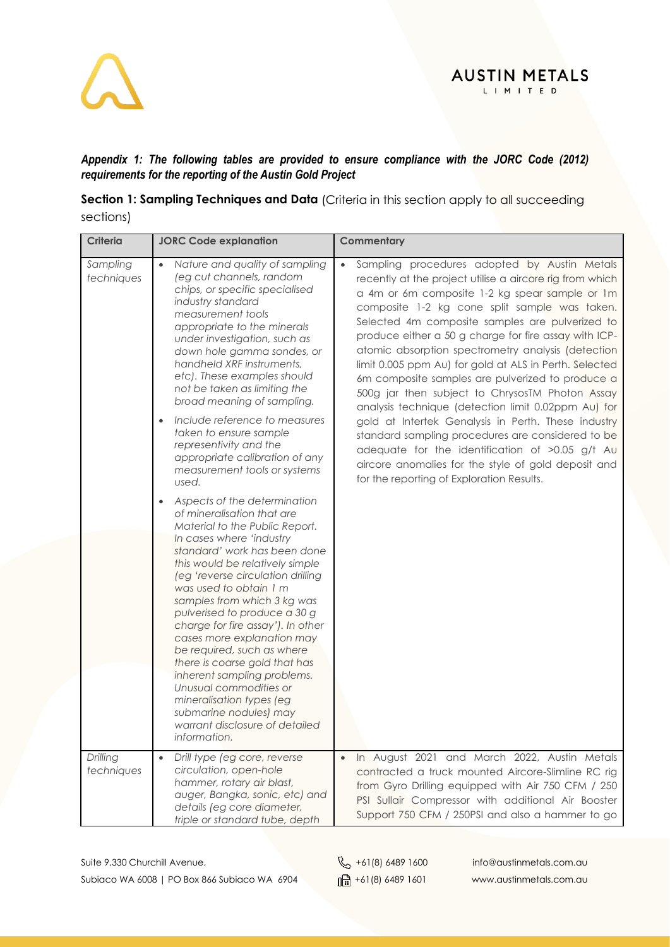

#### *Appendix 1: The following tables are provided to ensure compliance with the JORC Code (2012) requirements for the reporting of the Austin Gold Project*

**Section 1: Sampling Techniques and Data** (Criteria in this section apply to all succeeding sections)

| <b>Criteria</b>        | <b>JORC Code explanation</b>                                                                                                                                                                                                                                                                                                                                                                                                                                                                                                                                                                                                 | Commentary                                                                                                                                                                                                                                                                                                                                                                                                                                                                                                                                                                                                                                                                                                                                                                                                                                                                            |
|------------------------|------------------------------------------------------------------------------------------------------------------------------------------------------------------------------------------------------------------------------------------------------------------------------------------------------------------------------------------------------------------------------------------------------------------------------------------------------------------------------------------------------------------------------------------------------------------------------------------------------------------------------|---------------------------------------------------------------------------------------------------------------------------------------------------------------------------------------------------------------------------------------------------------------------------------------------------------------------------------------------------------------------------------------------------------------------------------------------------------------------------------------------------------------------------------------------------------------------------------------------------------------------------------------------------------------------------------------------------------------------------------------------------------------------------------------------------------------------------------------------------------------------------------------|
| Sampling<br>techniques | Nature and quality of sampling<br>(eg cut channels, random<br>chips, or specific specialised<br>industry standard<br>measurement tools<br>appropriate to the minerals<br>under investigation, such as<br>down hole gamma sondes, or<br>handheld XRF instruments,<br>etc). These examples should<br>not be taken as limiting the<br>broad meaning of sampling.<br>Include reference to measures<br>taken to ensure sample<br>representivity and the<br>appropriate calibration of any<br>measurement tools or systems<br>used.                                                                                                | Sampling procedures adopted by Austin Metals<br>$\bullet$<br>recently at the project utilise a aircore rig from which<br>a 4m or 6m composite 1-2 kg spear sample or 1m<br>composite 1-2 kg cone split sample was taken.<br>Selected 4m composite samples are pulverized to<br>produce either a 50 g charge for fire assay with ICP-<br>atomic absorption spectrometry analysis (detection<br>limit 0.005 ppm Au) for gold at ALS in Perth. Selected<br>6m composite samples are pulverized to produce a<br>500g jar then subject to ChrysosTM Photon Assay<br>analysis technique (detection limit 0.02ppm Au) for<br>gold at Intertek Genalysis in Perth. These industry<br>standard sampling procedures are considered to be<br>adequate for the identification of >0.05 g/t Au<br>aircore anomalies for the style of gold deposit and<br>for the reporting of Exploration Results. |
|                        | Aspects of the determination<br>of mineralisation that are<br>Material to the Public Report.<br>In cases where 'industry<br>standard' work has been done<br>this would be relatively simple<br>(eg 'reverse circulation drilling<br>was used to obtain 1 m<br>samples from which 3 kg was<br>pulverised to produce a 30 g<br>charge for fire assay'). In other<br>cases more explanation may<br>be required, such as where<br>there is coarse gold that has<br>inherent sampling problems.<br>Unusual commodities or<br>mineralisation types (eg<br>submarine nodules) may<br>warrant disclosure of detailed<br>information. |                                                                                                                                                                                                                                                                                                                                                                                                                                                                                                                                                                                                                                                                                                                                                                                                                                                                                       |
| Drilling<br>techniques | Drill type (eg core, reverse<br>$\bullet$<br>circulation, open-hole<br>hammer, rotary air blast,<br>auger, Bangka, sonic, etc) and<br>details (eg core diameter,<br>triple or standard tube, depth                                                                                                                                                                                                                                                                                                                                                                                                                           | In August 2021 and March 2022, Austin Metals<br>$\bullet$<br>contracted a truck mounted Aircore-Slimline RC rig<br>from Gyro Drilling equipped with Air 750 CFM / 250<br>PSI Sullair Compressor with additional Air Booster<br>Support 750 CFM / 250PSI and also a hammer to go                                                                                                                                                                                                                                                                                                                                                                                                                                                                                                                                                                                                       |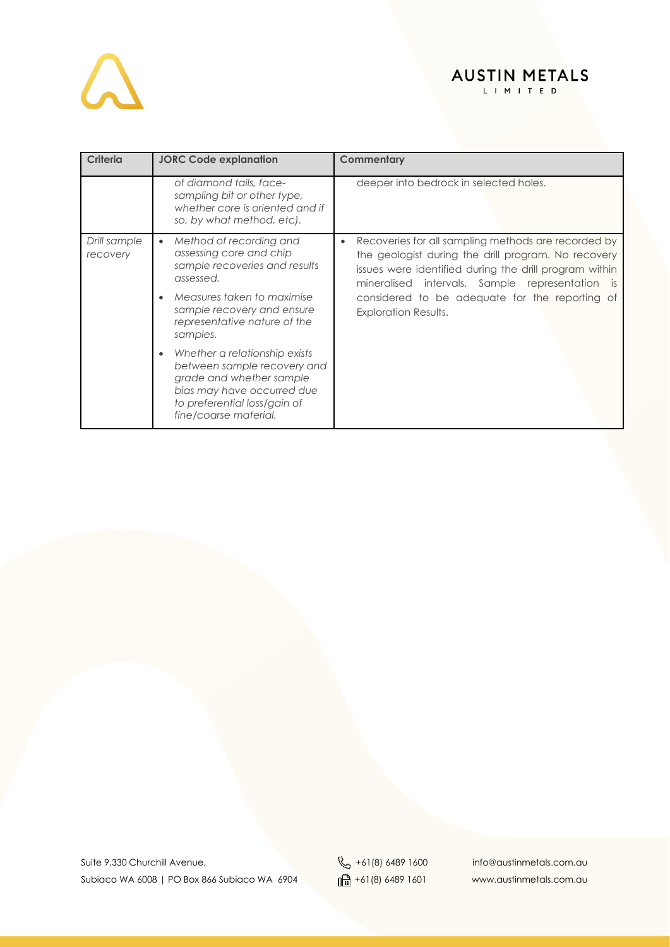

| <b>Criteria</b>                                                                                                                                                                                                                                                | <b>JORC Code explanation</b>                                                                                                                                                                 | Commentary                                                                                                                                                                                                                                                                    |
|----------------------------------------------------------------------------------------------------------------------------------------------------------------------------------------------------------------------------------------------------------------|----------------------------------------------------------------------------------------------------------------------------------------------------------------------------------------------|-------------------------------------------------------------------------------------------------------------------------------------------------------------------------------------------------------------------------------------------------------------------------------|
|                                                                                                                                                                                                                                                                | of diamond tails, face-<br>sampling bit or other type,<br>whether core is oriented and if<br>so, by what method, etc).                                                                       | deeper into bedrock in selected holes.                                                                                                                                                                                                                                        |
| Drill sample<br>Method of recording and<br>$\bullet$<br>$\bullet$<br>assessing core and chip<br>recovery<br>sample recoveries and results<br>assessed.<br>Measures taken to maximise<br>sample recovery and ensure<br>representative nature of the<br>samples. |                                                                                                                                                                                              | Recoveries for all sampling methods are recorded by<br>the geologist during the drill program. No recovery<br>issues were identified during the drill program within<br>mineralised intervals. Sample representation<br>is.<br>considered to be adequate for the reporting of |
|                                                                                                                                                                                                                                                                | <b>Exploration Results.</b>                                                                                                                                                                  |                                                                                                                                                                                                                                                                               |
|                                                                                                                                                                                                                                                                | Whether a relationship exists<br>$\bullet$<br>between sample recovery and<br>grade and whether sample<br>bias may have occurred due<br>to preferential loss/gain of<br>fine/coarse material. |                                                                                                                                                                                                                                                                               |

Suite 9,330 Churchill Avenue, et al. (8) 4489 1600 info@austinmetals.com.au Subiaco WA 6008 | PO Box 866 Subiaco WA 6904  $\frac{1}{\ln 2}$  +61(8) 6489 1601 www.austinmetals.com.au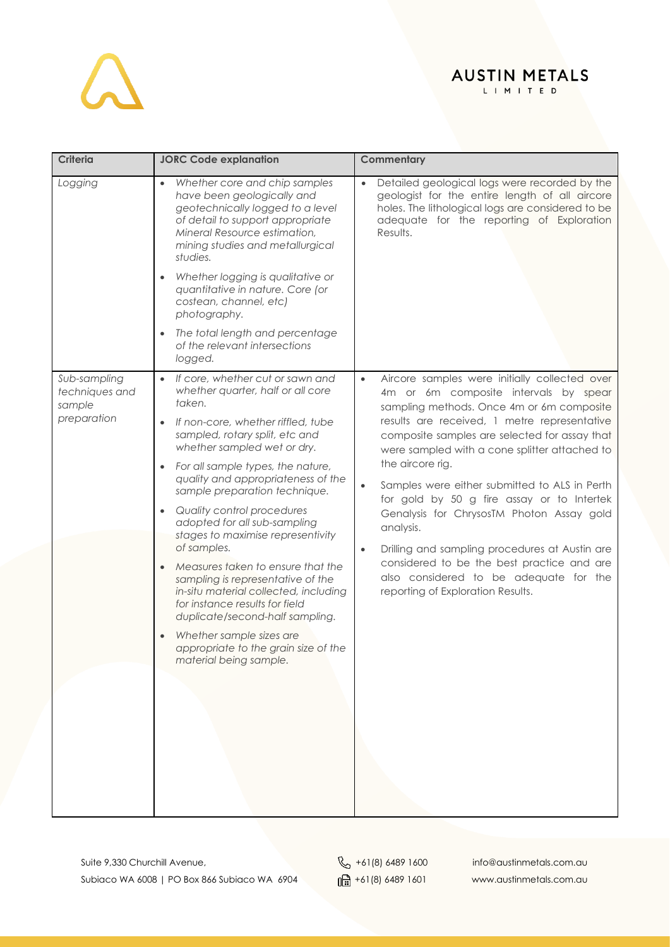# $\Delta$

## **AUSTIN METALS**

L I M I T E D

| <b>Criteria</b>                                         | <b>JORC Code explanation</b>                                                                                                                                                                                                                                                                                                                                           | Commentary                                                                                                                                                                                                                                        |
|---------------------------------------------------------|------------------------------------------------------------------------------------------------------------------------------------------------------------------------------------------------------------------------------------------------------------------------------------------------------------------------------------------------------------------------|---------------------------------------------------------------------------------------------------------------------------------------------------------------------------------------------------------------------------------------------------|
| Logging                                                 | Whether core and chip samples<br>have been geologically and<br>geotechnically logged to a level<br>of detail to support appropriate<br>Mineral Resource estimation,<br>mining studies and metallurgical<br>studies.                                                                                                                                                    | Detailed geological logs were recorded by the<br>geologist for the entire length of all aircore<br>holes. The lithological logs are considered to be<br>adequate for the reporting of Exploration<br>Results.                                     |
|                                                         | Whether logging is qualitative or<br>quantitative in nature. Core (or<br>costean, channel, etc)<br>photography.                                                                                                                                                                                                                                                        |                                                                                                                                                                                                                                                   |
|                                                         | The total length and percentage<br>of the relevant intersections<br>logged.                                                                                                                                                                                                                                                                                            |                                                                                                                                                                                                                                                   |
| Sub-sampling<br>techniques and<br>sample<br>preparation | If core, whether cut or sawn and<br>$\bullet$<br>whether quarter, half or all core<br>taken.<br>If non-core, whether riffled, tube<br>sampled, rotary split, etc and                                                                                                                                                                                                   | Aircore samples were initially collected over<br>$\bullet$<br>4m or 6m composite intervals by spear<br>sampling methods. Once 4m or 6m composite<br>results are received, 1 metre representative<br>composite samples are selected for assay that |
|                                                         | whether sampled wet or dry.<br>For all sample types, the nature,<br>quality and appropriateness of the<br>sample preparation technique.<br>Quality control procedures                                                                                                                                                                                                  | were sampled with a cone splitter attached to<br>the aircore rig.<br>Samples were either submitted to ALS in Perth<br>$\bullet$<br>for gold by 50 g fire assay or to Intertek<br>Genalysis for ChrysosTM Photon Assay gold                        |
|                                                         | adopted for all sub-sampling<br>stages to maximise representivity<br>of samples.<br>Measures taken to ensure that the<br>sampling is representative of the<br>in-situ material collected, including<br>for instance results for field<br>duplicate/second-half sampling.<br>Whether sample sizes are<br>appropriate to the grain size of the<br>material being sample. | analysis.<br>Drilling and sampling procedures at Austin are<br>$\bullet$<br>considered to be the best practice and are<br>also considered to be adequate for the<br>reporting of Exploration Results.                                             |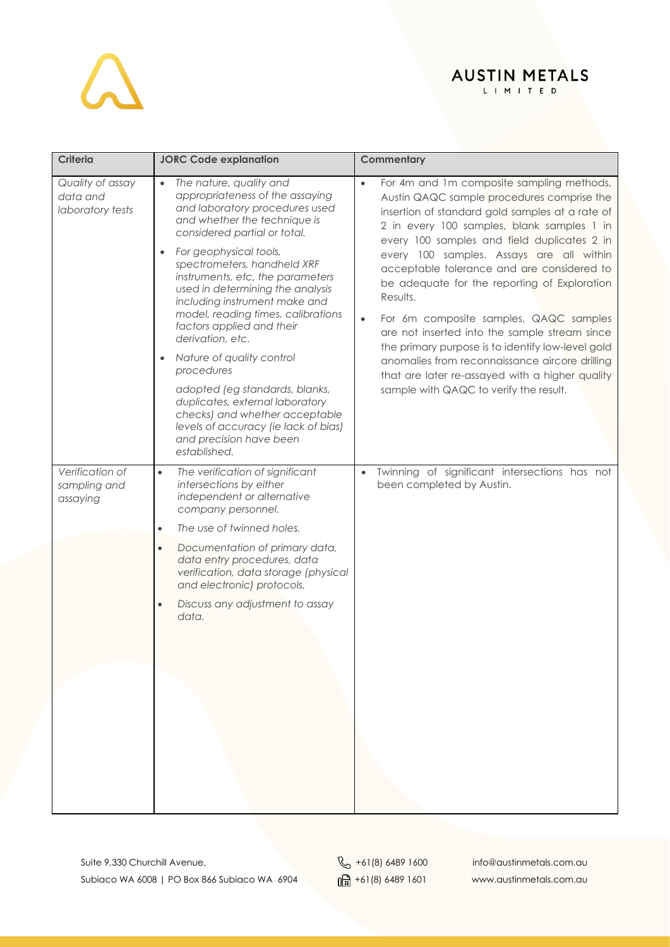L I M I T E D

| <b>Criteria</b>                                  | <b>JORC Code explanation</b>                                                                                                                                                                                                                                                                                                                                                                                                                                                                                                                                                                                                                                                                      | Commentary                                                                                                                                                                                                                                                                                                                                                                                                                                                                                                                                                                                                                                                                                                             |  |  |
|--------------------------------------------------|---------------------------------------------------------------------------------------------------------------------------------------------------------------------------------------------------------------------------------------------------------------------------------------------------------------------------------------------------------------------------------------------------------------------------------------------------------------------------------------------------------------------------------------------------------------------------------------------------------------------------------------------------------------------------------------------------|------------------------------------------------------------------------------------------------------------------------------------------------------------------------------------------------------------------------------------------------------------------------------------------------------------------------------------------------------------------------------------------------------------------------------------------------------------------------------------------------------------------------------------------------------------------------------------------------------------------------------------------------------------------------------------------------------------------------|--|--|
| Quality of assay<br>data and<br>laboratory tests | The nature, quality and<br>$\bullet$<br>appropriateness of the assaying<br>and laboratory procedures used<br>and whether the technique is<br>considered partial or total.<br>For geophysical tools,<br>$\bullet$<br>spectrometers, handheld XRF<br>instruments, etc, the parameters<br>used in determining the analysis<br>including instrument make and<br>model, reading times, calibrations<br>factors applied and their<br>derivation, etc.<br>Nature of quality control<br>$\bullet$<br>procedures<br>adopted (eg standards, blanks,<br>duplicates, external laboratory<br>checks) and whether acceptable<br>levels of accuracy (ie lack of bias)<br>and precision have been<br>established. | For 4m and 1m composite sampling methods,<br>$\bullet$<br>Austin QAQC sample procedures comprise the<br>insertion of standard gold samples at a rate of<br>2 in every 100 samples, blank samples 1 in<br>every 100 samples and field duplicates 2 in<br>every 100 samples. Assays are all within<br>acceptable tolerance and are considered to<br>be adequate for the reporting of Exploration<br>Results.<br>For 6m composite samples, QAQC samples<br>$\bullet$<br>are not inserted into the sample stream since<br>the primary purpose is to identify low-level gold<br>anomalies from reconnaissance aircore drilling<br>that are later re-assayed with a higher quality<br>sample with QAQC to verify the result. |  |  |
| Verification of<br>sampling and<br>assaying      | The verification of significant<br>$\bullet$<br>intersections by either<br>independent or alternative<br>company personnel.<br>The use of twinned holes.<br>$\bullet$<br>Documentation of primary data,<br>$\bullet$<br>data entry procedures, data<br>verification, data storage (physical<br>and electronic) protocols.<br>Discuss any adjustment to assay<br>$\bullet$<br>data.                                                                                                                                                                                                                                                                                                                | Twinning of significant intersections has not<br>$\bullet$<br>been completed by Austin.                                                                                                                                                                                                                                                                                                                                                                                                                                                                                                                                                                                                                                |  |  |
|                                                  |                                                                                                                                                                                                                                                                                                                                                                                                                                                                                                                                                                                                                                                                                                   |                                                                                                                                                                                                                                                                                                                                                                                                                                                                                                                                                                                                                                                                                                                        |  |  |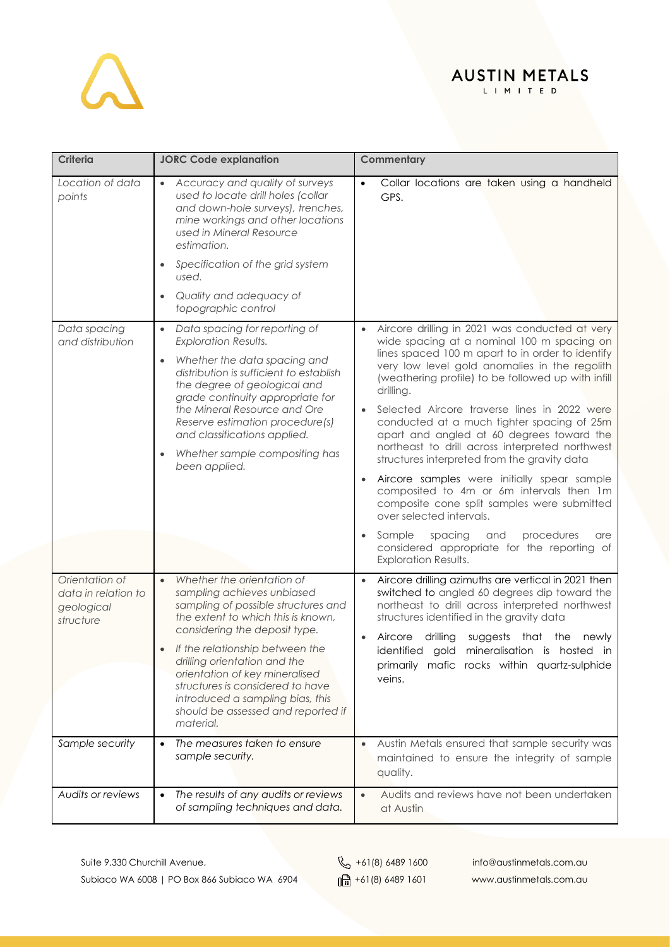

L I M I T E D

| <b>Criteria</b>                                                  | <b>JORC Code explanation</b>                                                                                                                                                                                                                                                                                                                                                                                        | Commentary                                                                                                                                                                                                                                                                                                                                                                                                                                                                                                                                                                                                                                                                                                                                                                                            |  |  |
|------------------------------------------------------------------|---------------------------------------------------------------------------------------------------------------------------------------------------------------------------------------------------------------------------------------------------------------------------------------------------------------------------------------------------------------------------------------------------------------------|-------------------------------------------------------------------------------------------------------------------------------------------------------------------------------------------------------------------------------------------------------------------------------------------------------------------------------------------------------------------------------------------------------------------------------------------------------------------------------------------------------------------------------------------------------------------------------------------------------------------------------------------------------------------------------------------------------------------------------------------------------------------------------------------------------|--|--|
| Location of data<br>points                                       | Accuracy and quality of surveys<br>$\bullet$<br>used to locate drill holes (collar<br>and down-hole surveys), trenches,<br>mine workings and other locations<br>used in Mineral Resource<br>estimation.<br>Specification of the grid system<br>used.<br>Quality and adequacy of                                                                                                                                     | Collar locations are taken using a handheld<br>$\bullet$<br>GPS.                                                                                                                                                                                                                                                                                                                                                                                                                                                                                                                                                                                                                                                                                                                                      |  |  |
|                                                                  | topographic control                                                                                                                                                                                                                                                                                                                                                                                                 |                                                                                                                                                                                                                                                                                                                                                                                                                                                                                                                                                                                                                                                                                                                                                                                                       |  |  |
| Data spacing<br>and distribution                                 | Data spacing for reporting of<br>$\bullet$<br><b>Exploration Results.</b><br>Whether the data spacing and<br>$\bullet$<br>distribution is sufficient to establish<br>the degree of geological and<br>grade continuity appropriate for<br>the Mineral Resource and Ore<br>Reserve estimation procedure(s)<br>and classifications applied.<br>Whether sample compositing has<br>been applied.                         | Aircore drilling in 2021 was conducted at very<br>$\bullet$<br>wide spacing at a nominal 100 m spacing on<br>lines spaced 100 m apart to in order to identify<br>very low level gold anomalies in the regolith<br>(weathering profile) to be followed up with infill<br>drilling.<br>Selected Aircore traverse lines in 2022 were<br>conducted at a much tighter spacing of 25m<br>apart and angled at 60 degrees toward the<br>northeast to drill across interpreted northwest<br>structures interpreted from the gravity data<br>Aircore samples were initially spear sample<br>composited to 4m or 6m intervals then 1m<br>composite cone split samples were submitted<br>over selected intervals.<br>Sample<br>spacing<br>procedures<br>and<br>are<br>considered appropriate for the reporting of |  |  |
| Orientation of<br>data in relation to<br>geological<br>structure | Whether the orientation of<br>$\bullet$<br>sampling achieves unbiased<br>sampling of possible structures and<br>the extent to which this is known,<br>considering the deposit type.<br>If the relationship between the<br>drilling orientation and the<br>orientation of key mineralised<br>structures is considered to have<br>introduced a sampling bias, this<br>should be assessed and reported if<br>material. | <b>Exploration Results.</b><br>Aircore drilling azimuths are vertical in 2021 then<br>switched to angled 60 degrees dip toward the<br>northeast to drill across interpreted northwest<br>structures identified in the gravity data<br>Aircore<br>drilling<br>suggests that the<br>newly<br>identified gold<br>mineralisation is hosted in<br>primarily mafic rocks within quartz-sulphide<br>veins.                                                                                                                                                                                                                                                                                                                                                                                                   |  |  |
| Sample security                                                  | The measures taken to ensure<br>$\bullet$<br>sample security.                                                                                                                                                                                                                                                                                                                                                       | Austin Metals ensured that sample security was<br>$\bullet$<br>maintained to ensure the integrity of sample<br>quality.                                                                                                                                                                                                                                                                                                                                                                                                                                                                                                                                                                                                                                                                               |  |  |
| Audits or reviews                                                | The results of any audits or reviews<br>$\bullet$<br>of sampling techniques and data.                                                                                                                                                                                                                                                                                                                               | Audits and reviews have not been undertaken<br>$\bullet$<br>at Austin                                                                                                                                                                                                                                                                                                                                                                                                                                                                                                                                                                                                                                                                                                                                 |  |  |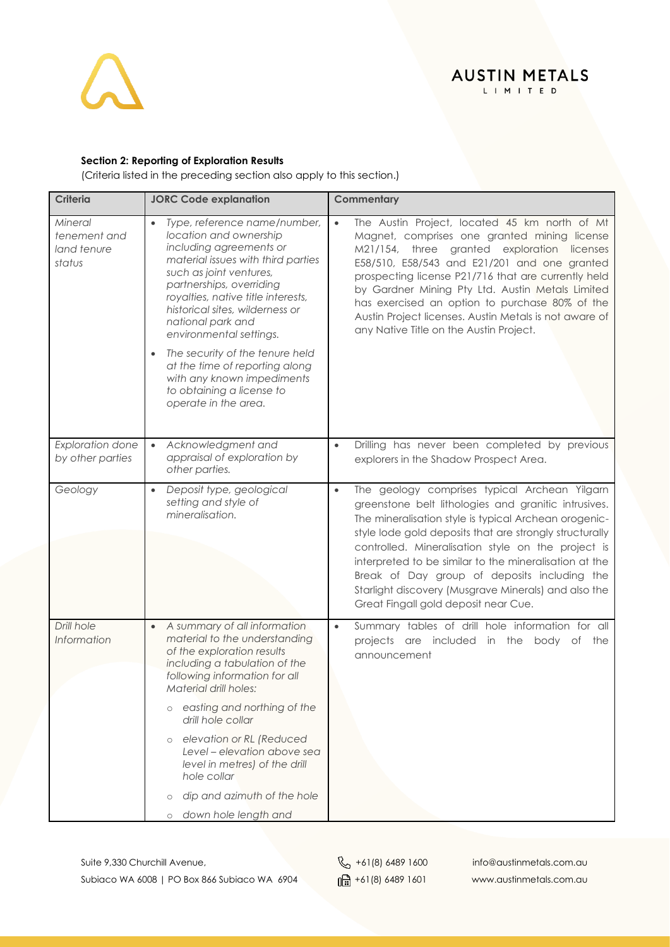

#### **AUSTIN METALS** L I M I T E D

#### **Section 2: Reporting of Exploration Results**

(Criteria listed in the preceding section also apply to this section.)

| <b>Criteria</b>                                  | <b>JORC Code explanation</b>                                                                                                                                                                                                                                                                                                                            | Commentary                                                                                                                                                                                                                                                                                                                                                                                                                                                                                             |
|--------------------------------------------------|---------------------------------------------------------------------------------------------------------------------------------------------------------------------------------------------------------------------------------------------------------------------------------------------------------------------------------------------------------|--------------------------------------------------------------------------------------------------------------------------------------------------------------------------------------------------------------------------------------------------------------------------------------------------------------------------------------------------------------------------------------------------------------------------------------------------------------------------------------------------------|
| Mineral<br>tenement and<br>land tenure<br>status | Type, reference name/number,<br>location and ownership<br>including agreements or<br>material issues with third parties<br>such as joint ventures,<br>partnerships, overriding<br>royalties, native title interests,<br>historical sites, wilderness or<br>national park and<br>environmental settings.<br>The security of the tenure held<br>$\bullet$ | The Austin Project, located 45 km north of Mt<br>$\bullet$<br>Magnet, comprises one granted mining license<br>M21/154, three granted exploration licenses<br>E58/510, E58/543 and E21/201 and one granted<br>prospecting license P21/716 that are currently held<br>by Gardner Mining Pty Ltd. Austin Metals Limited<br>has exercised an option to purchase 80% of the<br>Austin Project licenses. Austin Metals is not aware of<br>any Native Title on the Austin Project.                            |
|                                                  | at the time of reporting along<br>with any known impediments<br>to obtaining a license to<br>operate in the area.                                                                                                                                                                                                                                       |                                                                                                                                                                                                                                                                                                                                                                                                                                                                                                        |
| <b>Exploration done</b><br>by other parties      | Acknowledgment and<br>$\bullet$<br>appraisal of exploration by<br>other parties.                                                                                                                                                                                                                                                                        | Drilling has never been completed by previous<br>$\bullet$<br>explorers in the Shadow Prospect Area.                                                                                                                                                                                                                                                                                                                                                                                                   |
| Geology                                          | Deposit type, geological<br>$\bullet$<br>setting and style of<br>mineralisation.                                                                                                                                                                                                                                                                        | The geology comprises typical Archean Yilgarn<br>$\bullet$<br>greenstone belt lithologies and granitic intrusives.<br>The mineralisation style is typical Archean orogenic-<br>style lode gold deposits that are strongly structurally<br>controlled. Mineralisation style on the project is<br>interpreted to be similar to the mineralisation at the<br>Break of Day group of deposits including the<br>Starlight discovery (Musgrave Minerals) and also the<br>Great Fingall gold deposit near Cue. |
| Drill hole<br>Information                        | A summary of all information<br>$\bullet$<br>material to the understanding<br>of the exploration results<br>including a tabulation of the<br>following information for all<br><b>Material drill holes:</b>                                                                                                                                              | Summary tables of drill hole information for all<br>$\bullet$<br>projects are included in the body of the<br>announcement                                                                                                                                                                                                                                                                                                                                                                              |
|                                                  | easting and northing of the<br>$\circ$<br>drill hole collar<br>elevation or RL (Reduced<br>$\circ$<br>Level – elevation above sea<br>level in metres) of the drill                                                                                                                                                                                      |                                                                                                                                                                                                                                                                                                                                                                                                                                                                                                        |
|                                                  | hole collar<br>dip and azimuth of the hole<br>$\circ$<br>down hole length and<br>$\circ$                                                                                                                                                                                                                                                                |                                                                                                                                                                                                                                                                                                                                                                                                                                                                                                        |

Suite 9,330 Churchill Avenue, et al. (8) 4489 1600 info@austinmetals.com.au com.au Subiaco WA 6008 | PO Box 866 Subiaco WA 6904  $\frac{1}{\ln 1}$  +61(8) 6489 1601 www.austinmetals.com.au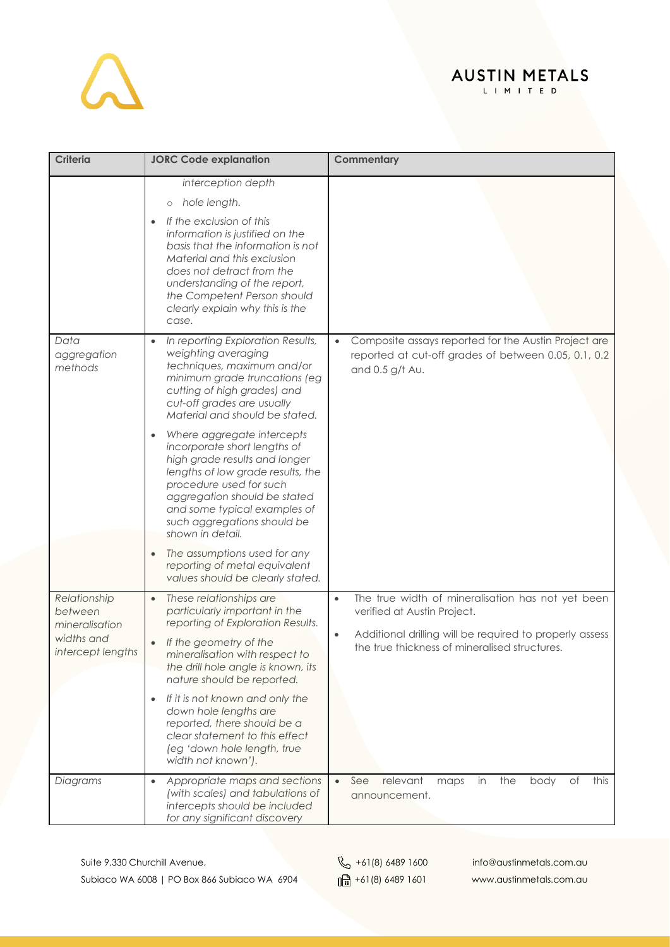#### **AUSTIN METALS** L I M I T E D

**Criteria JORC Code explanation Commentary** *interception depth* o *hole length.* • *If the exclusion of this information is justified on the basis that the information is not Material and this exclusion does not detract from the understanding of the report, the Competent Person should clearly explain why this is the case. Data aggregation methods* • *In reporting Exploration Results, weighting averaging techniques, maximum and/or minimum grade truncations (eg cutting of high grades) and cut-off grades are usually Material and should be stated.* • *Where aggregate intercepts incorporate short lengths of high grade results and longer lengths of low grade results, the procedure used for such aggregation should be stated and some typical examples of such aggregations should be shown in detail.* • *The assumptions used for any reporting of metal equivalent values should be clearly stated.* • Composite assays reported for the Austin Project are reported at cut-off grades of between 0.05, 0.1, 0.2 and 0.5 g/t Au. *Relationship between mineralisation widths and intercept lengths* • *These relationships are particularly important in the reporting of Exploration Results.* • *If the geometry of the mineralisation with respect to the drill hole angle is known, its nature should be reported.* • *If it is not known and only the down hole lengths are reported, there should be a clear statement to this effect (eg 'down hole length, true width not known').* The true width of mineralisation has not yet been verified at Austin Project. • Additional drilling will be required to properly assess the true thickness of mineralised structures. *Diagrams* • *Appropriate maps and sections (with scales) and tabulations of intercepts should be included for any significant discovery*  See relevant maps in the body of this announcement.